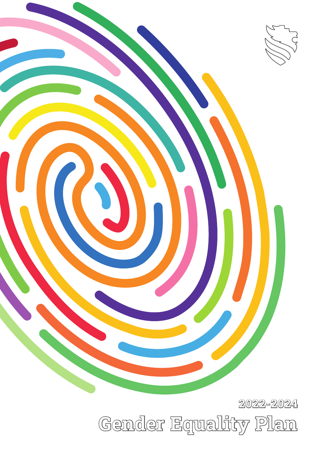

Gender Equality Plan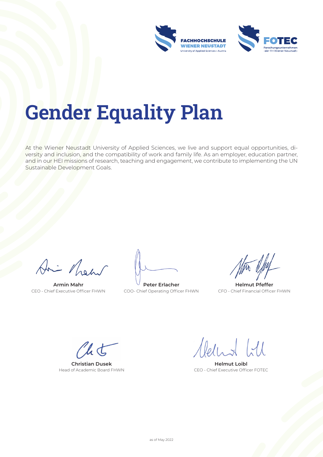



# Gender Equality Plan

At the Wiener Neustadt University of Applied Sciences, we live and support equal opportunities, diversity and inclusion, and the compatibility of work and family life. As an employer, education partner, and in our HEI missions of research, teaching and engagement, we contribute to implementing the UN Sustainable Development Goals.

Dri Nobel

**Armin Mahr** CEO - Chief Executive Officer FHWN

**Peter Erlacher** COO- Chief Operating Officer FHWN

**Helmut Pfeffer** CFO - Chief Financial Officer FHWN

**Christian Dusek** Head of Academic Board FHWN

Alelind Lill

**Helmut Loibl** CEO - Chief Executive Officer FOTEC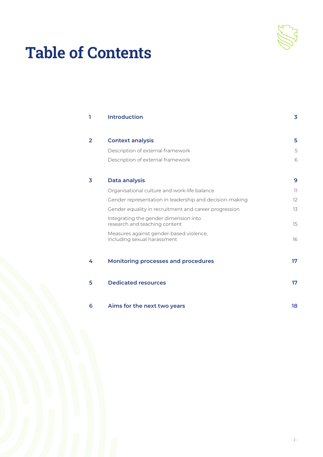

# Table of Contents

| ٦              | <b>Introduction</b>                                                    | 3  |
|----------------|------------------------------------------------------------------------|----|
| $\overline{2}$ | <b>Context analysis</b>                                                | 5  |
|                | Description of external framework                                      | 5  |
|                | Description of external framework                                      | 6  |
| 3              | Data analysis                                                          | 9  |
|                | Organisational culture and work-life balance                           | 11 |
|                | Gender representation in leadership and decision-making                | 12 |
|                | Gender equality in recruitment and career progression                  | 13 |
|                | Integrating the gender dimension into<br>research and teaching content | 15 |
|                | Measures against gender-based violence,<br>including sexual harassment | 16 |
| 4              | <b>Monitoring processes and procedures</b>                             | 17 |
| 5              | <b>Dedicated resources</b>                                             | 17 |
| 6              | Aims for the next two years                                            | 18 |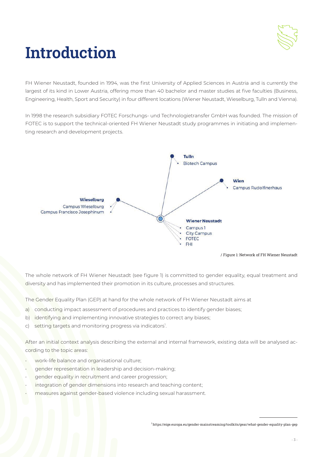

# **Introduction**

FH Wiener Neustadt, founded in 1994, was the first University of Applied Sciences in Austria and is currently the largest of its kind in Lower Austria, offering more than 40 bachelor and master studies at five faculties (Business, Engineering, Health, Sport and Security) in four different locations (Wiener Neustadt, Wieselburg, Tulln and Vienna).

In 1998 the research subsidiary FOTEC Forschungs- und Technologietransfer GmbH was founded. The mission of FOTEC is to support the technical-oriented FH Wiener Neustadt study programmes in initiating and implementing research and development projects.



<sup>/</sup> Figure 1: Network of FH Wiener Neustadt

The whole network of FH Wiener Neustadt (see figure 1) is committed to gender equality, equal treatment and diversity and has implemented their promotion in its culture, processes and structures.

The Gender Equality Plan (GEP) at hand for the whole network of FH Wiener Neustadt aims at

- conducting impact assessment of procedures and practices to identify gender biases; a)
- b) identifying and implementing innovative strategies to correct any biases;
- setting targets and monitoring progress via indicators<sup>1</sup>. . c)

After an initial context analysis describing the external and internal framework, existing data will be analysed according to the topic areas:

- work-life balance and organisational culture;
- gender representation in leadership and decision-making;
- gender equality in recruitment and career progression;
- integration of gender dimensions into research and teaching content;
- measures against gender-based violence including sexual harassment.

 $^{\rm 1}$ https://eige.europa.eu/gender-mainstreaming/toolkits/gear/what-gender-equality-plan-gep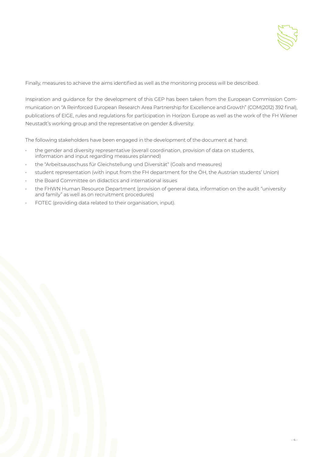

Finally, measures to achieve the aims identified as well as the monitoring process will be described.

Inspiration and guidance for the development of this GEP has been taken from the European Commission Communication on "A Reinforced European Research Area Partnership for Excellence and Growth" (COM(2012) 392 final), publications of EIGE, rules and regulations for participation in Horizon Europe as well as the work of the FH Wiener Neustadt's working group and the representative on gender & diversity.

The following stakeholders have been engaged in the development of the document at hand:

- the gender and diversity representative (overall coordination, provision of data on students, information and input regarding measures planned)
- the "Arbeitsausschuss für Gleichstellung und Diversität" (Goals and measures)
- student representation (with input from the FH department for the ÖH, the Austrian students' Union)
- the Board Committee on didactics and international issues
- the FHWN Human Resource Department (provision of general data, information on the audit "university and family" as well as on recruitment procedures)
- FOTEC (providing data related to their organisation, input).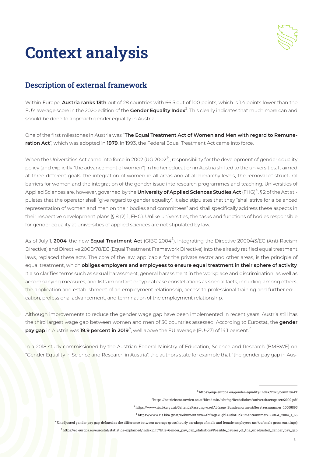

# Context analysis

## Description of external framework

Within Europe, **Austria ranks 13th** out of 28 countries with 66.5 out of 100 points, which is 1.4 points lower than the EU's average score in the 2020 edition of the **Gender Equality Index**<sup>2</sup>. This clearly indicates that much more can and should be done to approach gender equality in Austria.

One of the first milestones in Austria was "**The Equal Treatment Act of Women and Men with regard to Remuneration Act**", which was adopted in **1979**. In 1993, the Federal Equal Treatment Act came into force.

When the Universities Act came into force in 2002 (UG 2002 $^3$ ), responsibility for the development of gender equality policy (and explicitly "the advancement of women") in higher education in Austria shifted to the universities. It aimed at three different goals: the integration of women in all areas and at all hierarchy levels, the removal of structural barriers for women and the integration of the gender issue into research programmes and teaching. Universities of Applied Sciences are, however, governed by the **University of Applied Sciences Studies Act** (FHG)<sup>4</sup>.§2 of the Act stipulates that the operator shall "give regard to gender equality". It also stipulates that they "shall strive for a balanced representation of women and men on their bodies and committees" and shall specifically address these aspects in their respective development plans (§ 8 (2) 1, FHG). Unlike universities, the tasks and functions of bodies responsible for gender equality at universities of applied sciences are not stipulated by law.

As of July 1, **2004**, the new **Equal Treatment Act** (GIBG 2004<sup>5</sup>), integrating the Directive 2000/43/EC (Anti-Racism Directive) and Directive 2000/78/EC (Equal Treatment Framework Directive) into the already ratified equal treatment laws, replaced these acts. The core of the law, applicable for the private sector and other areas, is the principle of equal treatment, which **obliges employers and employees to ensure equal treatment in their sphere of activity**. It also clarifies terms such as sexual harassment, general harassment in the workplace and discrimination, as well as accompanying measures, and lists important or typical case constellations as special facts, including among others, the application and establishment of an employment relationship, access to professional training and further education, professional advancement, and termination of the employment relationship.

Although improvements to reduce the gender wage gap have been implemented in recent years, Austria still has the third largest wage gap between women and men of 30 countries assessed. According to Eurostat, the **gender pay gap** in Austria was **19.9 percent in 2019**<sup>6</sup> , well above the EU average (EU-27) of 14.1 percent.7

In a 2018 study commissioned by the Austrian Federal Ministry of Education, Science and Research (BMBWF) on "Gender Equality in Science and Research in Austria", the authors state for example that "the gender pay gap in Aus-

 $^2$ https://eige.europa.eu/gender-equality-index/2020/country/AT  $\,$ 

<sup>3</sup>https://betriebsrat.tuwien.ac.at/fileadmin/t/br/ap/Rechtliches/universitaetsgesetz2002.pdf

<sup>4</sup>https://www.ris.bka.gv.at/GeltendeFassung.wxe?Abfrage=Bundesnormen&Gesetzesnummer=10009895

 $5$ https://www.ris.bka.gv.at/Dokument.wxe?Abfrage=BgblAuth&Dokumentnummer=BGBLA\_2004\_I\_66

 $^6$ Unadjusted gender pay gap, defined as the difference between average gross hourly earnings of male and female employees (as % of male gross earnings)

<sup>7</sup>https://ec.europa.eu/eurostat/statistics-explained/index.php?title=Gender\_pay\_gap\_statistics#Possible\_causes\_of\_the\_unadjusted\_gender\_pay\_gap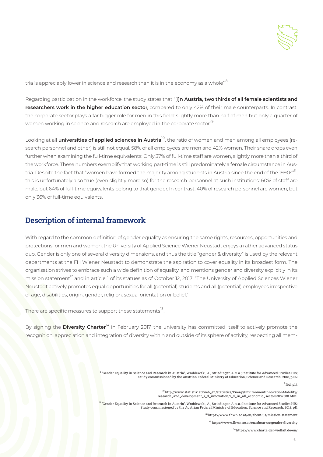

tria is appreciably lower in science and research than it is in the economy as a whole".<sup>8</sup>

Regarding participation in the workforce, the study states that "[i**]n Austria, two thirds of all female scientists and researchers work in the higher education sector**, compared to only 42% of their male counterparts. In contrast, the corporate sector plays a far bigger role for men in this field: slightly more than half of men but only a quarter of women working in science and research are employed in the corporate sector<sup>"9</sup>. .

Looking at all **universities of applied sciences in Austria**10, the ratio of women and men among all employees (research personnel and other) is still not equal. 58% of all employees are men and 42% women. Their share drops even further when examining the full-time equivalents: Only 37% of full-time staff are women, slightly more than a third of the workforce. These numbers exemplify that working part-time is still predominately a female circumstance in Austria. Despite the fact that "women have formed the majority among students in Austria since the end of the 1990s"<sup>11</sup>, this is unfortunately also true (even slightly more so) for the research personnel at such institutions: 60% of staff are male, but 64% of full-time equivalents belong to that gender. In contrast, 40% of research personnel are women, but only 36% of full-time equivalents.

## Description of internal framework

With regard to the common definition of gender equality as ensuring the same rights, resources, opportunities and protections for men and women, the University of Applied Science Wiener Neustadt enjoys a rather advanced status quo. Gender is only one of several diversity dimensions, and thus the title "gender & diversity" is used by the relevant departments at the FH Wiener Neustadt to demonstrate the aspiration to cover equality in its broadest form. The organisation strives to embrace such a wide definition of equality, and mentions gender and diversity explicitly in its mission statement<sup>12</sup> and in article 1 of its statues as of October 12, 2017: "The University of Applied Sciences Wiener Neustadt actively promotes equal opportunities for all (potential) students and all (potential) employees irrespective of age, disabilities, origin, gender, religion, sexual orientation or belief."

There are specific measures to support these statements<sup>13</sup>.

By signing the **Diversity Charter**<sup>14</sup> in February 2017, the university has committed itself to actively promote the recognition, appreciation and integration of diversity within and outside of its sphere of activity, respecting all mem-

 $9$  Ibd. p14

12 https://www.fhwn.ac.at/en/about-us/mission-statement

<sup>14</sup> https://www.charta-der-vielfalt.de/en/

<sup>&</sup>lt;sup>8</sup> "Gender Equality in Science and Research in Austria", Wroblewski, A., Striedinger, A. u.a.; Institute for Advanced Studies HIS; Study commissioned by the Austrian Federal Ministry of Education, Science and Research, 2018, p102

 $^{10}\rm{http://www.statistik.at/web_en/statistics/EnergyEnvironmentInnovationMobility/}$ research\_and\_development\_r\_d\_innovation/r\_d\_in\_all\_economic\_sectors/057580.html

<sup>&</sup>lt;sup>11</sup> "Gender Equality in Science and Research in Austria", Wroblewski, A., Striedinger, A. u.a.; Institute for Advanced Studies HIS; Study commissioned by the Austrian Federal Ministry of Education, Science and Research, 2018, p11

<sup>13</sup>https://www.fhwn.ac.at/en/about-us/gender-diversity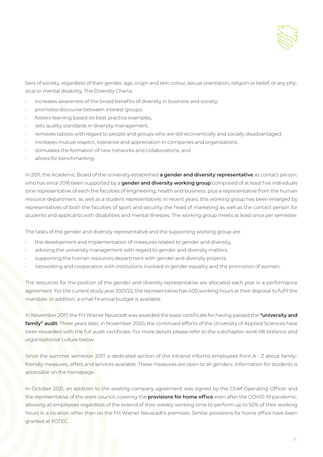

bers of society, regardless of their gender, age, origin and skin colour, sexual orientation, religion or belief, or any physical or mental disability. The Diversity Charta

- increases awareness of the broad benefits of diversity in business and society,
- promotes discourse between interest groups,
- fosters learning based on best practice examples,
- sets quality standards in diversity management,
- removes taboos with regard to people and groups who are still economically and socially disadvantaged,
- increases mutual respect, tolerance and appreciation in companies and organisations,
- stimulates the formation of new networks and collaborations, and
- allows for benchmarking.

In 2011, the Academic Board of the university established **a gender and diversity representative** as contact person, who has since 2016 been supported by a **gender and diversity working group** composed of at least five individuals (one representative of each the faculties of engineering, health and business, plus a representative from the human resource department, as well as a student representative). In recent years, this working group has been enlarged by representatives of both the faculties of sport and security, the head of marketing as well as the contact person for students and applicants with disabilities and mental illnesses. The working group meets at least once per semester.

The tasks of the gender and diversity representative and the supporting working group are:

- the development and implementation of measures related to gender and diversity,
- advising the university management with regard to gender and diversity matters,
- supporting the human resources department with gender and diversity projects,
- networking and cooperation with institutions involved in gender equality and the promotion of women.

The resources for the position of the gender and diversity representative are allocated each year in a performance agreement. For the current study year 2021/22, the representative has 400 working hours at their disposal to fulfil the mandate. In addition, a small financial budget is available.

In November 2017, the FH Wiener Neustadt was awarded the basic certificate for having passed the **"university and**  family" audit. Three years later, in November 2020, the continued efforts of the University of Applied Sciences have been rewarded with the full audit certificate. For more details please refer to the subchapter *work-life balance and organisational culture* below.

Since the summer semester 2017, a dedicated section of the Intranet informs employees from A - Z about familyfriendly measures, offers and services available. These measures are open to all genders. Information for students is accessible on the homepage.

In October 2021, an addition to the existing company agreement was signed by the Chief Operating Officer and the representative of the work council, covering the **provisions for home office** even after the COVID-19 pandemic, allowing all employees regardless of the extend of their weekly working time to perform up to 50% of their working hours in a location other than on the FH Wiener Neustadt's premises. Similar provisions for home office have been granted at FOTEC.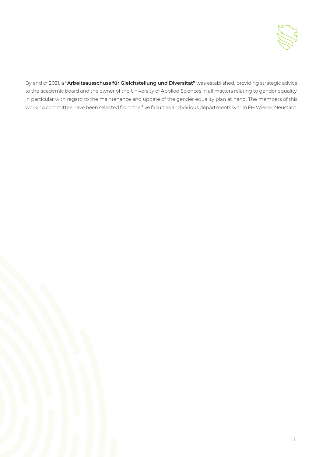

By end of 2021, a **"Arbeitsausschuss für Gleichstellung und Diversität"** was established, providing strategic advice to the academic board and the owner of the University of Applied Sciences in all matters relating to gender equality, in particular with regard to the maintenance and update of the gender equality plan at hand. The members of this working committee have been selected from the five faculties and various departments within FH Wiener Neustadt.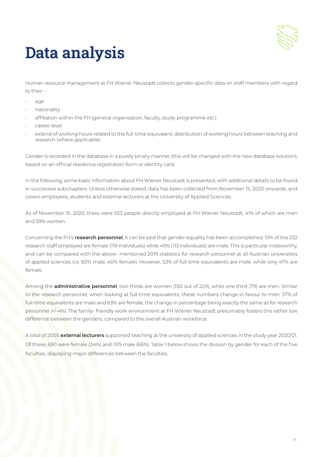

## Data analysis

Human resource management at FH Wiener Neustadt collects gender-specific data on staff members with regard to their -

- age
- nationality
- affiliation within the FH (general organisation, faculty, study programme etc.)
- career level
- extend of working hours related to the full-time equivalent; distribution of working hours between teaching and research (where applicable).

Gender is recorded in the database in a purely binary manner (this will be changed with the new database solution), based on an official residence registration form or identity card.

In the following, some basic information about FH Wiener Neustadt is presented, with additional details to be found in successive subchapters. Unless otherwise stated, data has been collected from November 15, 2020 onwards, and covers employees, students and external lecturers at the University of Applied Sciences.

As of November 15, 2020, there were 553 people directly employed at FH Wiener Neustadt, 41% of which are men and 59% women.

Concerning the FH's **research personnel**, it can be said that gender equality has been accomplished. 51% of the 232 research staff employed are female (119 individuals) while 49% (113 individuals) are male. This is particular noteworthy, and can be compared with the above- mentioned 2019 statistics for research personnel at all Austrian universities of applied sciences (i.e. 60% male, 40% female). However, 53% of full-time equivalents are male, while only 47% are female.

Among the **administrative personnel**, two thirds are women (150 out of 229), while one third (79) are men. Similar to the research personnel, when looking at full-time equivalents, these numbers change in favour to men: 37% of full-time equivalents are male and 63% are female, the change in percentage being exactly the same as for research personnel (+/-4%). The family- friendly work-environment at FH Wiener Neustadt presumably fosters this rather low difference between the genders, compared to the overall Austrian workforce.

A total of 2005 **external lecturers** supported teaching at the university of applied sciences in the study year 2020/21. Of these, 690 were female (34%) and 1315 male (66%). Table 1 below shows the division by gender for each of the five faculties, displaying major differences between the faculties.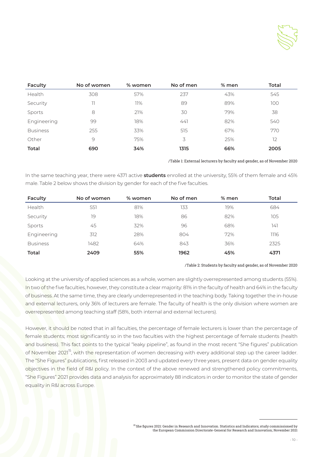| Faculty         | No of women | % women | No of men | $%$ men | Total |
|-----------------|-------------|---------|-----------|---------|-------|
| Health          | 308         | 57%     | 237       | 43%     | 545   |
| Security        | 11          | 11%     | 89        | 89%     | 100   |
| Sports          | 8           | 21%     | 30        | 79%     | 38    |
| Engineering     | 99          | 18%     | 441       | 82%     | 540   |
| <b>Business</b> | 255         | 33%     | 515       | 67%     | 770   |
| Other           | 9           | 75%     | 3         | 25%     | 12    |
| <b>Total</b>    | 690         | 34%     | 1315      | 66%     | 2005  |

/Table 1: External lecturers by faculty and gender, as of November 2020

In the same teaching year, there were 4371 active **students** enrolled at the university, 55% of them female and 45% male. Table 2 below shows the division by gender for each of the five faculties.

| Faculty         | No of women | % women | No of men | $%$ men | <b>Total</b> |
|-----------------|-------------|---------|-----------|---------|--------------|
| Health          | 551         | 81%     | 133       | 19%     | 684          |
| Security        | 19          | 18%     | 86        | 82%     | 105          |
| Sports          | 45          | 32%     | 96        | 68%     | 141          |
| Engineering     | 312         | 28%     | 804       | 72%     | 1116         |
| <b>Business</b> | 1482        | 64%     | 843       | 36%     | 2325         |
| <b>Total</b>    | 2409        | 55%     | 1962      | 45%     | 4371         |

#### /Table 2: Students by faculty and gender, as of November 2020

Looking at the university of applied sciences as a whole, women are slightly overrepresented among students (55%). In two of the five faculties, however, they constitute a clear majority: 81% in the faculty of health and 64% in the faculty of business. At the same time, they are clearly underrepresented in the teaching body. Taking together the in-house and external lecturers, only 36% of lecturers are female. The faculty of health is the only division where women are overrepresented among teaching staff (58%, both internal and external lecturers).

However, it should be noted that in all faculties, the percentage of female lecturers is lower than the percentage of female students; most significantly so in the two faculties with the highest percentage of female students (health and business). This fact points to the typical "leaky pipeline", as found in the most recent "She figures" publication of November 2021<sup>15</sup>, with the representation of women decreasing with every additional step up the career ladder. The "She Figures" publications, first released in 2003 and updated every three years, present data on gender equality objectives in the field of R&I policy. In the context of the above renewed and strengthened policy commitments, "She Figures" 2021 provides data and analysis for approximately 88 indicators in order to monitor the state of gender equality in R&I across Europe.

<sup>&</sup>lt;sup>15</sup> She figures 2021: Gender in Research and Innovation. Statistics and Indicators; study commissioned by the European Commission Directorate-General for Research and Innovation; November 2021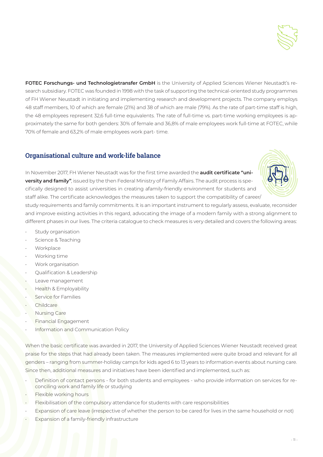

**FOTEC Forschungs- und Technologietransfer GmbH** is the University of Applied Sciences Wiener Neustadt's research subsidiary. FOTEC was founded in 1998 with the task of supporting the technical-oriented study programmes of FH Wiener Neustadt in initiating and implementing research and development projects. The company employs 48 staff members, 10 of which are female (21%) and 38 of which are male (79%). As the rate of part-time staff is high, the 48 employees represent 32,6 full-time equivalents. The rate of full-time vs. part-time working employees is approximately the same for both genders: 30% of female and 36,8% of male employees work full-time at FOTEC, while 70% of female and 63,2% of male employees work part- time.

## Organisational culture and work-life balance

In November 2017, FH Wiener Neustadt was for the first time awarded the **audit certificate "university and family"**, issued by the then Federal Ministry of Family Affairs. The audit process is specifically designed to assist universities in creating afamily-friendly environment for students and staff alike. The certificate acknowledges the measures taken to support the compatibility of career/



study requirements and family commitments. It is an important instrument to regularly assess, evaluate, reconsider and improve existing activities in this regard, advocating the image of a modern family with a strong alignment to different phases in our lives. The criteria catalogue to check measures is very detailed and covers the following areas:

- Study organisation
- Science & Teaching
- **Workplace**
- Working time
- Work organisation
- Qualification & Leadership
- Leave management
- Health & Employability
- **Service for Families**
- Childcare
- Nursing Care
- Financial Engagement
- Information and Communication Policy

When the basic certificate was awarded in 2017, the University of Applied Sciences Wiener Neustadt received great praise for the steps that had already been taken. The measures implemented were quite broad and relevant for all genders – ranging from summer-holiday camps for kids aged 6 to 13 years to information events about nursing care. Since then, additional measures and initiatives have been identified and implemented, such as:

- Definition of contact persons for both students and employees who provide information on services for reconciling work and family life or studying
- **Flexible working hours**
- Flexibilisation of the compulsory attendance for students with care responsibilities
- Expansion of care leave (irrespective of whether the person to be cared for lives in the same household or not)
- Expansion of a family-friendly infrastructure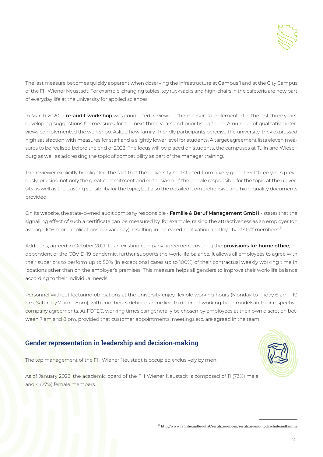

The last measure becomes quickly apparent when observing the infrastructure at Campus 1 and at the City Campus of the FH Wiener Neustadt. For example, changing tables, toy rucksacks and high-chairs in the cafeteria are now part of everyday life at the university for applied sciences.

In March 2020, a **re-audit workshop** was conducted, reviewing the measures implemented in the last three years, developing suggestions for measures for the next three years and prioritising them. A number of qualitative interviews complemented the workshop. Asked how family- friendly participants perceive the university, they expressed high satisfaction with measures for staff and a slightly lower level for students. A target agreement lists eleven measures to be realised before the end of 2022. The focus will be placed on students, the campuses at Tulln and Wieselburg as well as addressing the topic of compatibility as part of the manager training.

The reviewer explicitly highlighted the fact that the university had started from a very good level three years previously, praising not only the great commitment and enthusiasm of the people responsible for the topic at the university as well as the existing sensibility for the topic, but also the detailed, comprehensive and high-quality documents provided.

On its website, the state-owned audit company responsible - **Familie & Beruf Management GmbH** - states that the signalling effect of such a certificate can be measured by, for example, raising the attractiveness as an employer (on average 10% more applications per vacancy), resulting in increased motivation and loyalty of staff members<sup>16</sup>.

Additions, agreed in October 2021, to an existing company agreement covering the **provisions for home office**, independent of the COVID-19 pandemic, further supports the work-life balance. It allows all employees to agree with their superiors to perform up to 50% (in exceptional cases up to 100%) of their contractual weekly working time in locations other than on the employer's premises. This measure helps all genders to improve their work-life balance according to their individual needs.

Personnel without lecturing obligations at the university enjoy flexible working hours (Monday to Friday 6 am - 10 pm, Saturday 7 am – 8pm), with core hours defined according to different working-hour models in their respective company agreements. At FOTEC, working times can generally be chosen by employees at their own discretion between 7 am and 8 pm, provided that customer appointments, meetings etc. are agreed in the team.

## Gender representation in leadership and decision-making



The top management of the FH Wiener Neustadt is occupied exclusively by men.

As of January 2022, the academic board of the FH Wiener Neustadt is composed of 11 (73%) male and 4 (27%) female members.

16 http://www.familieundberuf.at/zertifizierungen/zertifizierung-hochschuleundfamilie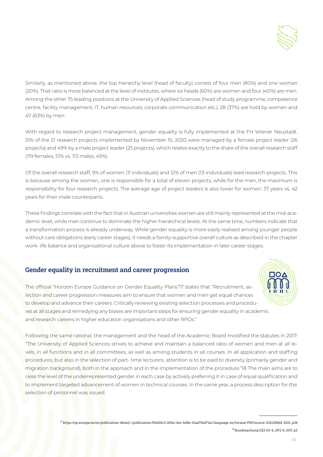

Similarly, as mentioned above, the top hierarchy level (head of faculty) consist of four men (80%) and one woman (20%). That ratio is more balanced at the level of institutes, where six heads (60%) are women and four (40%) are men. Among the other 75 leading positions at the University of Applied Sciences (head of study programme, competence centre, facility management, IT, human resources, corporate communication etc.), 28 (37%) are hold by women and 47 (63%) by men.

With regard to research project management, gender equality is fully implemented at the FH Wiener Neustadt. 51% of the 51 research projects implemented by November 15, 2020 were managed by a female project leader (26 projects) and 49% by a male project leader (25 projects), which relates exactly to the share of the overall research staff (119 females, 51% vs. 113 males, 49%).

Of the overall research staff, 9% of women (11 individuals) and 12% of men (13 individuals) lead research projects. This is because among the women, one is responsible for a total of eleven projects, while for the men, the maximum is responsibility for four research projects. The average age of project leaders is also lower for women: 37 years vs. 42 years for their male counterparts.

These findings correlate with the fact that in Austrian universities women are still mainly represented at the mid-academic level, while men continue to dominate the higher hierarchical levels. At the same time, numbers indicate that a transformation process is already underway. While gender equality is more easily realised among younger people without care obligations (early career stages), it needs a family-supportive overall culture as described in the chapter work- life balance and organisational culture above to foster its implementation in later career stages.

## Gender equality in recruitment and career progression



The official "Horizon Europe Guidance on Gender Equality Plans"17 states that "Recruitment, selection and career progression measures aim to ensure that women and men get equal chances to develop and advance their careers. Critically reviewing existing selection processes and procedures at all stages and remedying any biases are important steps for ensuring gender equality in academic and research careers in higher education organisations and other RPOs."

Following the same rational, the management and the head of the Academic Board modified the statutes in 2017: "The University of Applied Sciences strives to achieve and maintain a balanced ratio of women and men at all levels, in all functions and in all committees, as well as among students in all courses. In all application and staffing procedures, but also in the selection of part- time lecturers, attention is to be paid to diversity (primarily gender and migration background), both in the approach and in the implementation of the procedure."18 The main aims are to raise the level of the underrepresented gender in each case by actively preferring it in case of equal qualification and to implement targeted advancement of women in technical courses. In the same year, a process description for the selection of personnel was issued.

 $^{17}$ https://op.europa.eu/en/publication-detail/-/publication/ffcb06c3-200a-11ec-bd8e-01aa75ed71a1/language-en/format-PDF/source-232129669, 2021, p38 18 Kundmachung GZ2-63-4\_GP2-8, 2017, p3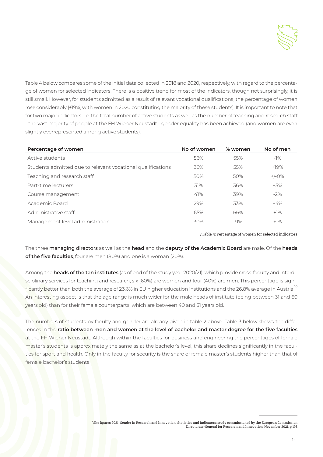

Table 4 below compares some of the initial data collected in 2018 and 2020, respectively, with regard to the percentage of women for selected indicators. There is a positive trend for most of the indicators, though not surprisingly, it is still small. However, for students admitted as a result of relevant vocational qualifications, the percentage of women rose considerably (+19%, with women in 2020 constituting the majority of these students). It is important to note that for two major indicators, i.e. the total number of active students as well as the number of teaching and research staff - the vast majority of people at the FH Wiener Neustadt - gender equality has been achieved (and women are even slightly overrepresented among active students).

| Percentage of women                                         | No of women | % women | No of men |
|-------------------------------------------------------------|-------------|---------|-----------|
| Active students                                             | 56%         | 55%     | $-1\%$    |
| Students admitted due to relevant vocational qualifications | 36%         | 55%     | $+19%$    |
| Teaching and research staff                                 | 50%         | 50%     | $+/-0\%$  |
| Part-time lecturers                                         | 31%         | 36%     | $+5%$     |
| Course management                                           | 41%         | 39%     | $-2\%$    |
| Academic Board                                              | 29%         | 33%     | $+4%$     |
| Administrative staff                                        | 65%         | 66%     | $+1\%$    |
| Management level administration                             | 30%         | 31%     | $+1\%$    |

/Table 4: Percentage of women for selected indicators

The three managing directors as well as the **head** and the **deputy of the Academic Board** are male. Of the **heads of the five faculties**, four are men (80%) and one is a woman (20%).

Among the **heads of the ten institutes** (as of end of the study year 2020/21), which provide cross-faculty and interdisciplinary services for teaching and research, six (60%) are women and four (40%) are men. This percentage is significantly better than both the average of 23.6% in EU higher education institutions and the 26.8% average in Austria.<sup>19</sup> An interesting aspect is that the age range is much wider for the male heads of institute (being between 31 and 60 years old) than for their female counterparts, which are between 40 and 51 years old.

The numbers of students by faculty and gender are already given in table 2 above. Table 3 below shows the differences in the **ratio between men and women at the level of bachelor and master degree for the five faculties** at the FH Wiener Neustadt. Although within the faculties for business and engineering the percentages of female master's students is approximately the same as at the bachelor's level, this share declines significantly in the faculties for sport and health. Only in the faculty for security is the share of female master's students higher than that of female bachelor's students.

<sup>&</sup>lt;sup>19</sup> She figures 2021: Gender in Research and Innovation. Statistics and Indicators; study commissioned by the European Commission Directorate-General for Research and Innovation; November 2021, p.198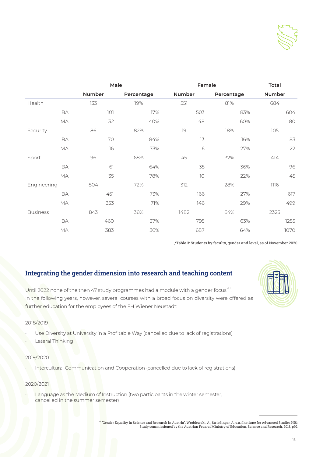|                 | Male   |            | Female | <b>Total</b> |        |
|-----------------|--------|------------|--------|--------------|--------|
|                 | Number | Percentage | Number | Percentage   | Number |
| Health          | 133    | 19%        | 551    | 81%          | 684    |
| BA              | 101    | 17%        | 503    | 83%          | 604    |
| МA              | 32     | 40%        | 48     | 60%          | 80     |
| Security        | 86     | 82%        | 19     | 18%          | 105    |
| BA              | 70     | 84%        | 13     | 16%          | 83     |
| MA              | 16     | 73%        | 6      | 27%          | 22     |
| Sport           | 96     | 68%        | 45     | 32%          | 414    |
| BA              | 61     | 64%        | 35     | 36%          | 96     |
| МA              | 35     | 78%        | 10     | 22%          | 45     |
| Engineering     | 804    | 72%        | 312    | 28%          | 1116   |
| BA              | 451    | 73%        | 166    | 27%          | 617    |
| МA              | 353    | 71%        | 146    | 29%          | 499    |
| <b>Business</b> | 843    | 36%        | 1482   | 64%          | 2325   |
| BA              | 460    | 37%        | 795    | 63%          | 1255   |
| МA              | 383    | 36%        | 687    | 64%          | 1070   |

/Table 3: Students by faculty, gender and level, as of November 2020

## Integrating the gender dimension into research and teaching content

Until 2022 none of the then 47 study programmes had a module with a gender focus<sup>20</sup>. In the following years, however, several courses with a broad focus on diversity were offered as further education for the employees of the FH Wiener Neustadt:



### 2018/2019

- Use Diversity at University in a Profitable Way (cancelled due to lack of registrations)
- Lateral Thinking

### 2019/2020

Intercultural Communication and Cooperation (cancelled due to lack of registrations)

### 2020/2021

Language as the Medium of Instruction (two participants in the winter semester, cancelled in the summer semester)

<sup>20</sup> "Gender Equality in Science and Research in Austria", Wroblewski, A., Striedinger, A. u.a.; Institute for Advanced Studies HIS,<br>Study commissioned by the Austrian Federal Ministry of Education, Science and Research, 2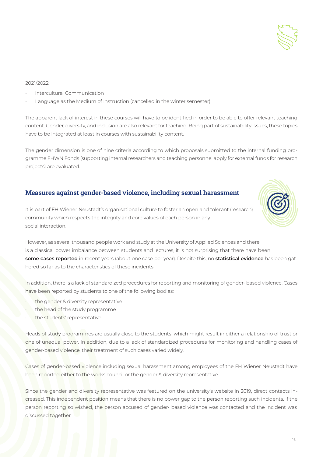

### 2021/2022

- Intercultural Communication
- Language as the Medium of Instruction (cancelled in the winter semester)

The apparent lack of interest in these courses will have to be identified in order to be able to offer relevant teaching content. Gender, diversity, and inclusion are also relevant for teaching. Being part of sustainability issues, these topics have to be integrated at least in courses with sustainability content.

The gender dimension is one of nine criteria according to which proposals submitted to the internal funding programme FHWN Fonds (supporting internal researchers and teaching personnel apply for external funds for research projects) are evaluated.

## Measures against gender-based violence, including sexual harassment



It is part of FH Wiener Neustadt's organisational culture to foster an open and tolerant (research) community which respects the integrity and core values of each person in any social interaction.

However, as several thousand people work and study at the University of Applied Sciences and there is a classical power imbalance between students and lectures, it is not surprising that there have been **some cases reported** in recent years (about one case per year). Despite this, no **statistical evidence** has been gathered so far as to the characteristics of these incidents.

In addition, there is a lack of standardized procedures for reporting and monitoring of gender- based violence. Cases have been reported by students to one of the following bodies:

- the gender & diversity representative
- the head of the study programme
- the students' representative.

Heads of study programmes are usually close to the students, which might result in either a relationship of trust or one of unequal power. In addition, due to a lack of standardized procedures for monitoring and handling cases of gender-based violence, their treatment of such cases varied widely.

Cases of gender-based violence including sexual harassment among employees of the FH Wiener Neustadt have been reported either to the works council or the gender & diversity representative.

Since the gender and diversity representative was featured on the university's website in 2019, direct contacts increased. This independent position means that there is no power gap to the person reporting such incidents. If the person reporting so wished, the person accused of gender- based violence was contacted and the incident was discussed together.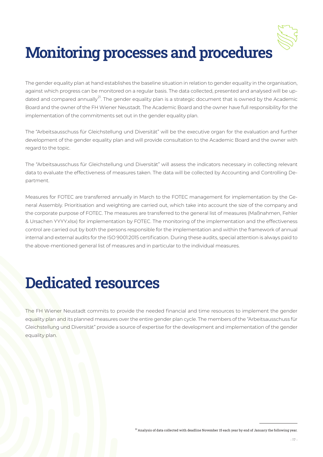

The gender equality plan at hand establishes the baseline situation in relation to gender equality in the organisation, against which progress can be monitored on a regular basis. The data collected, presented and analysed will be updated and compared annually<sup>21</sup>. The gender equality plan is a strategic document that is owned by the Academic Board and the owner of the FH Wiener Neustadt. The Academic Board and the owner have full responsibility for the implementation of the commitments set out in the gender equality plan.

The "Arbeitsausschuss für Gleichstellung und Diversität" will be the executive organ for the evaluation and further development of the gender equality plan and will provide consultation to the Academic Board and the owner with regard to the topic.

The "Arbeitsausschuss für Gleichstellung und Diversität" will assess the indicators necessary in collecting relevant data to evaluate the effectiveness of measures taken. The data will be collected by Accounting and Controlling Department.

Measures for FOTEC are transferred annually in March to the FOTEC management for implementation by the General Assembly. Prioritisation and weighting are carried out, which take into account the size of the company and the corporate purpose of FOTEC. The measures are transferred to the general list of measures (Maßnahmen, Fehler & Ursachen YYYY.xlsx) for implementation by FOTEC. The monitoring of the implementation and the effectiveness control are carried out by both the persons responsible for the implementation and within the framework of annual internal and external audits for the ISO 9001:2015 certification. During these audits, special attention is always paid to the above-mentioned general list of measures and in particular to the individual measures.

## Dedicated resources

The FH Wiener Neustadt commits to provide the needed financial and time resources to implement the gender equality plan and its planned measures over the entire gender plan cycle. The members of the "Arbeitsausschuss für Gleichstellung und Diversität" provide a source of expertise for the development and implementation of the gender equality plan.

 $^{\rm 21}$  Analysis of data collected with deadline November 15 each year by end of January the following year.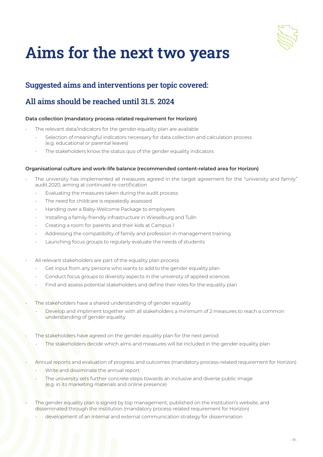

## Aims for the next two years

## Suggested aims and interventions per topic covered:

## All aims should be reached until 31.5. 2024

### **Data collection (mandatory process-related requirement for Horizon)**

- The relevant data/indicators for the gender equality plan are available
	- Selection of meaningful indicators necessary for data collection and calculation process (e.g. educational or parental leaves)
	- The stakeholders know the status quo of the gender equality indicators

### **Organisational culture and work-life balance (recommended content-related area for Horizon)**

- The university has implemented all measures agreed in the target agreement for the "university and family" audit 2020, aiming at continued re-certification
	- Evaluating the measures taken during the audit process
	- The need for childcare is repeatedly assessed
	- Handing over a Baby-Welcome Package to employees
	- Installing a family-friendly infrastructure in Wieselburg and Tulln
	- Creating a room for parents and their kids at Campus 1
	- Addressing the compatibility of family and profession in management training
	- Launching focus groups to regularly evaluate the needs of students
- All relevant stakeholders are part of the equality plan process
	- Get input from any persons who wants to add to the gender equality plan
	- Conduct focus groups to diversity aspects in the university of applied sciences
	- Find and assess potential stakeholders and define their roles for the equality plan
- The stakeholders have a shared understanding of gender equality
	- Develop and impliment together with all stakeholders a minimum of 2 measures to reach a common understanding of gender equality
- The stakeholders have agreed on the gender equality plan for the next period
	- The stakeholders decide which aims and measures will be included in the gender equality plan
- Annual reports and evaluation of progress and outcomes (mandatory process-related requirement for Horizon)
	- Write and dissiminate the annual report
	- The university sets further concrete steps towards an inclusive and diverse public image (e.g. in its marketing materials and online presence)
- The gender equality plan is signed by top management, published on the institution's website, and disseminated through the institution (mandatory process-related requirement for Horizon)
	- development of an internal and external communication strategy for dissemination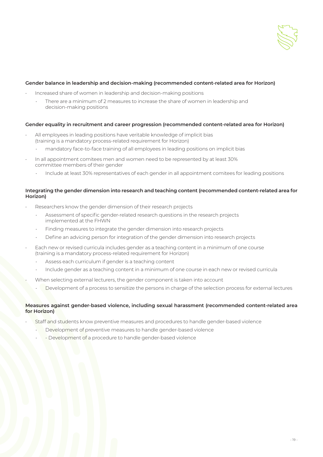

### **Gender balance in leadership and decision-making (recommended content-related area for Horizon)**

- Increased share of women in leadership and decision-making positions
	- There are a minimum of 2 measures to increase the share of women in leadership and decision-making positions

#### **Gender equality in recruitment and career progression (recommended content-related area for Horizon)**

- All employees in leading positions have veritable knowledge of implicit bias (training is a mandatory process-related requirement for Horizon)
	- mandatory face-to-face training of all employees in leading positions on implicit bias
- In all appointment comitees men and women need to be represented by at least 30% committee members of their gender
	- Include at least 30% representatives of each gender in all appointment comitees for leading positions

#### **Integrating the gender dimension into research and teaching content (recommended content-related area for Horizon)**

- Researchers know the gender dimension of their research projects
	- Assessment of specific gender-related research questions in the research projects implemented at the FHWN
	- Finding measures to integrate the gender dimension into research projects
	- Define an advicing person for integration of the gender dimension into research projects
- Each new or revised curricula includes gender as a teaching content in a minimum of one course (training is a mandatory process-related requirement for Horizon)
	- Assess each curriculum if gender is a teaching content
	- Include gender as a teaching content in a minimum of one course in each new or revised curricula
- When selecting external lecturers, the gender component is taken into account
	- Development of a process to sensitize the persons in charge of the selection process for external lectures

#### **Measures against gender-based violence, including sexual harassment (recommended content-related area for Horizon)**

- Staff and students know preventive measures and procedures to handle gender-based violence
	- Development of preventive measures to handle gender-based violence
	- Development of a procedure to handle gender-based violence